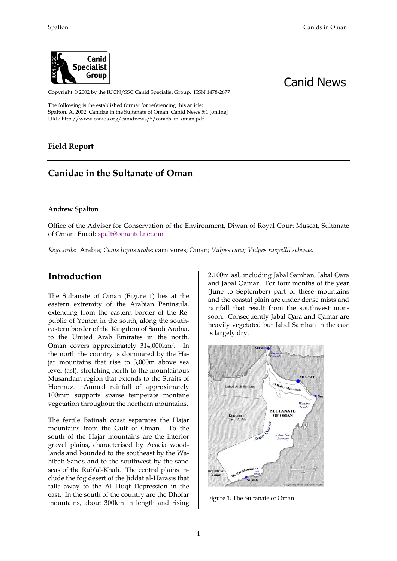

Canid News

Copyright © 2002 by the IUCN/SSC Canid Specialist Group. ISSN 1478-2677

The following is the established format for referencing this article: Spalton, A. 2002. Canidae in the Sultanate of Oman. Canid News 5:1 [online] URL: http://www.canids.org/canidnews/5/canids\_in\_oman.pdf

### **Field Report**

# **Canidae in the Sultanate of Oman**

#### **Andrew Spalton**

Office of the Adviser for Conservation of the Environment, Diwan of Royal Court Muscat, Sultanate of Oman. Email: spalt@omantel.net.om

*Keywords*: Arabia; *Canis lupus arabs;* carnivores; Oman; *Vulpes cana; Vulpes ruepellii sabaeae.*

### **Introduction**

The Sultanate of Oman (Figure 1) lies at the eastern extremity of the Arabian Peninsula, extending from the eastern border of the Republic of Yemen in the south, along the southeastern border of the Kingdom of Saudi Arabia, to the United Arab Emirates in the north. Oman covers approximately 314,000km2. In the north the country is dominated by the Hajar mountains that rise to 3,000m above sea level (asl), stretching north to the mountainous Musandam region that extends to the Straits of Hormuz. Annual rainfall of approximately 100mm supports sparse temperate montane vegetation throughout the northern mountains.

The fertile Batinah coast separates the Hajar mountains from the Gulf of Oman. To the south of the Hajar mountains are the interior gravel plains, characterised by Acacia woodlands and bounded to the southeast by the Wahibah Sands and to the southwest by the sand seas of the Rub'al-Khali. The central plains include the fog desert of the Jiddat al-Harasis that falls away to the Al Huqf Depression in the east. In the south of the country are the Dhofar mountains, about 300km in length and rising 2,100m asl, including Jabal Samhan, Jabal Qara and Jabal Qamar. For four months of the year (June to September) part of these mountains and the coastal plain are under dense mists and rainfall that result from the southwest monsoon. Consequently Jabal Qara and Qamar are heavily vegetated but Jabal Samhan in the east is largely dry.



Figure 1. The Sultanate of Oman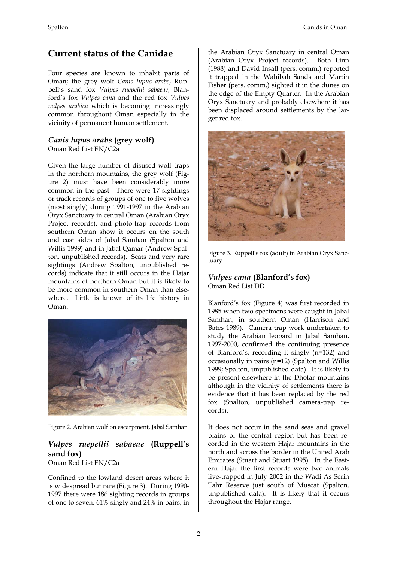# **Current status of the Canidae**

Four species are known to inhabit parts of Oman; the grey wolf *Canis lupus arabs*, Ruppell's sand fox *Vulpes ruepellii sabaeae*, Blanford's fox *Vulpes cana* and the red fox *Vulpes vulpes arabica* which is becoming increasingly common throughout Oman especially in the vicinity of permanent human settlement.

### *Canis lupus arabs* **(grey wolf)** Oman Red List EN/C2a

Given the large number of disused wolf traps in the northern mountains, the grey wolf (Figure 2) must have been considerably more common in the past. There were 17 sightings or track records of groups of one to five wolves (most singly) during 1991-1997 in the Arabian Oryx Sanctuary in central Oman (Arabian Oryx Project records), and photo-trap records from southern Oman show it occurs on the south and east sides of Jabal Samhan (Spalton and Willis 1999) and in Jabal Qamar (Andrew Spalton, unpublished records). Scats and very rare sightings (Andrew Spalton, unpublished records) indicate that it still occurs in the Hajar mountains of northern Oman but it is likely to be more common in southern Oman than elsewhere. Little is known of its life history in Oman.



Figure 2. Arabian wolf on escarpment, Jabal Samhan

# *Vulpes ruepellii sabaeae* **(Ruppell's sand fox)**

Oman Red List EN/C2a

Confined to the lowland desert areas where it is widespread but rare (Figure 3). During 1990- 1997 there were 186 sighting records in groups of one to seven, 61% singly and 24% in pairs, in the Arabian Oryx Sanctuary in central Oman (Arabian Oryx Project records). Both Linn (1988) and David Insall (pers. comm.) reported it trapped in the Wahibah Sands and Martin Fisher (pers. comm.) sighted it in the dunes on the edge of the Empty Quarter. In the Arabian Oryx Sanctuary and probably elsewhere it has been displaced around settlements by the larger red fox.



Figure 3. Ruppell's fox (adult) in Arabian Oryx Sanctuary

# *Vulpes cana* **(Blanford's fox)**

Oman Red List DD

Blanford's fox (Figure 4) was first recorded in 1985 when two specimens were caught in Jabal Samhan, in southern Oman (Harrison and Bates 1989). Camera trap work undertaken to study the Arabian leopard in Jabal Samhan, 1997-2000, confirmed the continuing presence of Blanford's, recording it singly (n=132) and occasionally in pairs (n=12) (Spalton and Willis 1999; Spalton, unpublished data). It is likely to be present elsewhere in the Dhofar mountains although in the vicinity of settlements there is evidence that it has been replaced by the red fox (Spalton, unpublished camera-trap records).

It does not occur in the sand seas and gravel plains of the central region but has been recorded in the western Hajar mountains in the north and across the border in the United Arab Emirates (Stuart and Stuart 1995). In the Eastern Hajar the first records were two animals live-trapped in July 2002 in the Wadi As Serin Tahr Reserve just south of Muscat (Spalton, unpublished data). It is likely that it occurs throughout the Hajar range.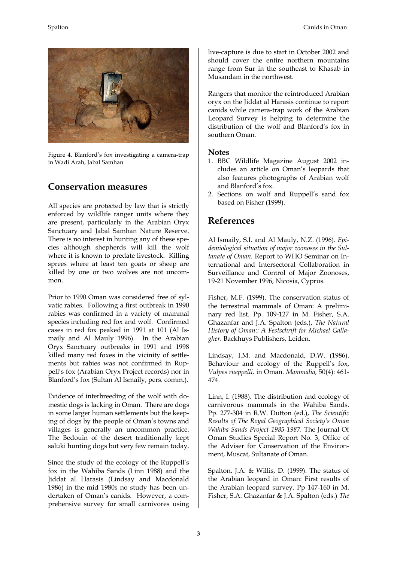

Figure 4. Blanford's fox investigating a camera-trap in Wadi Arah, Jabal Samhan

# **Conservation measures**

All species are protected by law that is strictly enforced by wildlife ranger units where they are present, particularly in the Arabian Oryx Sanctuary and Jabal Samhan Nature Reserve. There is no interest in hunting any of these species although shepherds will kill the wolf where it is known to predate livestock. Killing sprees where at least ten goats or sheep are killed by one or two wolves are not uncommon.

Prior to 1990 Oman was considered free of sylvatic rabies. Following a first outbreak in 1990 rabies was confirmed in a variety of mammal species including red fox and wolf. Confirmed cases in red fox peaked in 1991 at 101 (Al Ismaily and Al Mauly 1996). In the Arabian Oryx Sanctuary outbreaks in 1991 and 1998 killed many red foxes in the vicinity of settlements but rabies was not confirmed in Ruppell's fox (Arabian Oryx Project records) nor in Blanford's fox (Sultan Al Ismaily, pers. comm.).

Evidence of interbreeding of the wolf with domestic dogs is lacking in Oman. There are dogs in some larger human settlements but the keeping of dogs by the people of Oman's towns and villages is generally an uncommon practice. The Bedouin of the desert traditionally kept saluki hunting dogs but very few remain today.

Since the study of the ecology of the Ruppell's fox in the Wahiba Sands (Linn 1988) and the Jiddat al Harasis (Lindsay and Macdonald 1986) in the mid 1980s no study has been undertaken of Oman's canids. However, a comprehensive survey for small carnivores using live-capture is due to start in October 2002 and should cover the entire northern mountains range from Sur in the southeast to Khasab in Musandam in the northwest.

Rangers that monitor the reintroduced Arabian oryx on the Jiddat al Harasis continue to report canids while camera-trap work of the Arabian Leopard Survey is helping to determine the distribution of the wolf and Blanford's fox in southern Oman.

#### **Notes**

- 1. BBC Wildlife Magazine August 2002 includes an article on Oman's leopards that also features photographs of Arabian wolf and Blanford's fox.
- 2. Sections on wolf and Ruppell's sand fox based on Fisher (1999).

# **References**

Al Ismaily, S.I. and Al Mauly, N.Z. (1996). *Epidemiological situation of major zoonoses in the Sultanate of Oman.* Report to WHO Seminar on International and Intersectoral Collaboration in Surveillance and Control of Major Zoonoses, 19-21 November 1996, Nicosia, Cyprus.

Fisher, M.F. (1999). The conservation status of the terrestrial mammals of Oman: A preliminary red list. Pp. 109-127 in M. Fisher, S.A. Ghazanfar and J.A. Spalton (eds.), *The Natural History of Oman:: A Festschrift for Michael Gallagher*. Backhuys Publishers, Leiden.

Lindsay, I.M. and Macdonald, D.W. (1986). Behaviour and ecology of the Ruppell's fox, *Vulpes rueppelli,* in Oman. *Mammalia,* 50(4): 461- 474.

Linn, I. (1988). The distribution and ecology of carnivorous mammals in the Wahiba Sands. Pp. 277-304 in R.W. Dutton (ed.), *The Scientific Results of The Royal Geographical Society's Oman Wahiba Sands Project 1985-1987.* The Journal Of Oman Studies Special Report No. 3, Office of the Adviser for Conservation of the Environment, Muscat, Sultanate of Oman.

Spalton, J.A. & Willis, D. (1999). The status of the Arabian leopard in Oman: First results of the Arabian leopard survey. Pp 147-160 in M. Fisher, S.A. Ghazanfar & J.A. Spalton (eds.) *The*